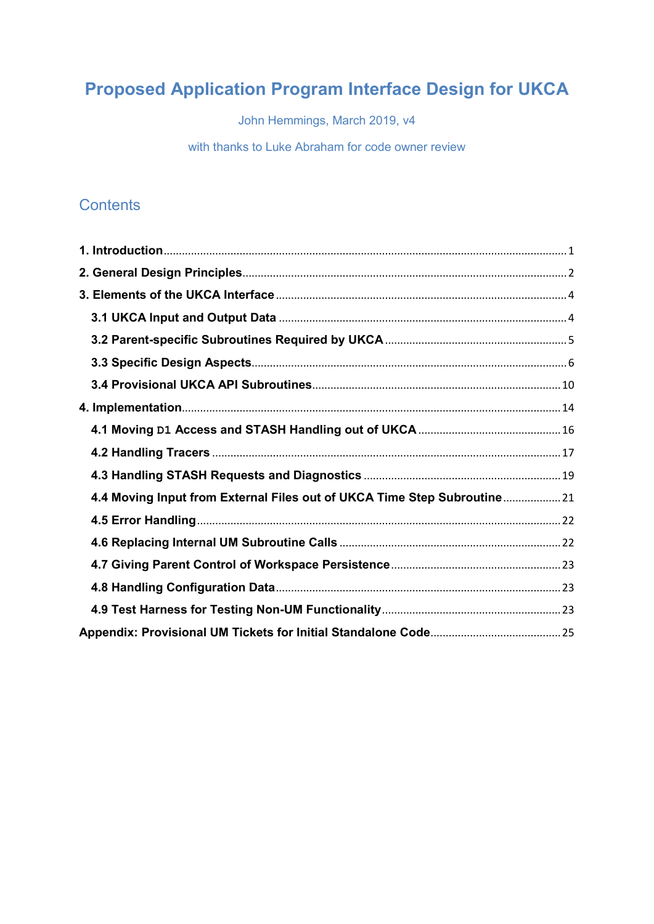# **Proposed Application Program Interface Design for UKCA**

John Hemmings, March 2019, v4

with thanks to Luke Abraham for code owner review

# **Contents**

| 4.4 Moving Input from External Files out of UKCA Time Step Subroutine 21 |  |
|--------------------------------------------------------------------------|--|
|                                                                          |  |
|                                                                          |  |
|                                                                          |  |
|                                                                          |  |
|                                                                          |  |
|                                                                          |  |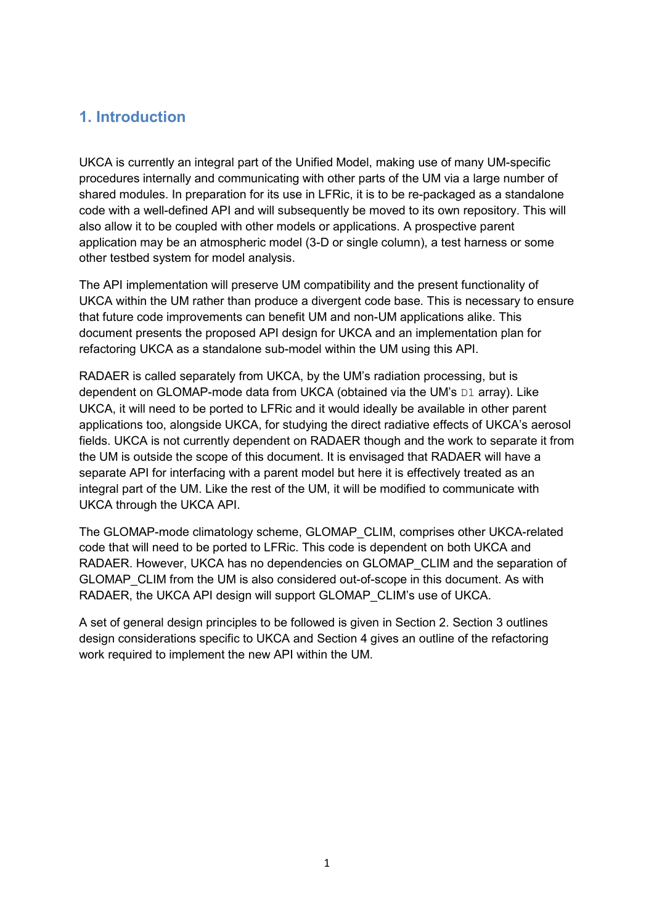# <span id="page-1-0"></span>**1. Introduction**

UKCA is currently an integral part of the Unified Model, making use of many UM-specific procedures internally and communicating with other parts of the UM via a large number of shared modules. In preparation for its use in LFRic, it is to be re-packaged as a standalone code with a well-defined API and will subsequently be moved to its own repository. This will also allow it to be coupled with other models or applications. A prospective parent application may be an atmospheric model (3-D or single column), a test harness or some other testbed system for model analysis.

The API implementation will preserve UM compatibility and the present functionality of UKCA within the UM rather than produce a divergent code base. This is necessary to ensure that future code improvements can benefit UM and non-UM applications alike. This document presents the proposed API design for UKCA and an implementation plan for refactoring UKCA as a standalone sub-model within the UM using this API.

RADAER is called separately from UKCA, by the UM's radiation processing, but is dependent on GLOMAP-mode data from UKCA (obtained via the UM's D1 array). Like UKCA, it will need to be ported to LFRic and it would ideally be available in other parent applications too, alongside UKCA, for studying the direct radiative effects of UKCA's aerosol fields. UKCA is not currently dependent on RADAER though and the work to separate it from the UM is outside the scope of this document. It is envisaged that RADAER will have a separate API for interfacing with a parent model but here it is effectively treated as an integral part of the UM. Like the rest of the UM, it will be modified to communicate with UKCA through the UKCA API.

The GLOMAP-mode climatology scheme, GLOMAP\_CLIM, comprises other UKCA-related code that will need to be ported to LFRic. This code is dependent on both UKCA and RADAER. However, UKCA has no dependencies on GLOMAP\_CLIM and the separation of GLOMAP\_CLIM from the UM is also considered out-of-scope in this document. As with RADAER, the UKCA API design will support GLOMAP\_CLIM's use of UKCA.

A set of general design principles to be followed is given in Section 2. Section 3 outlines design considerations specific to UKCA and Section 4 gives an outline of the refactoring work required to implement the new API within the UM.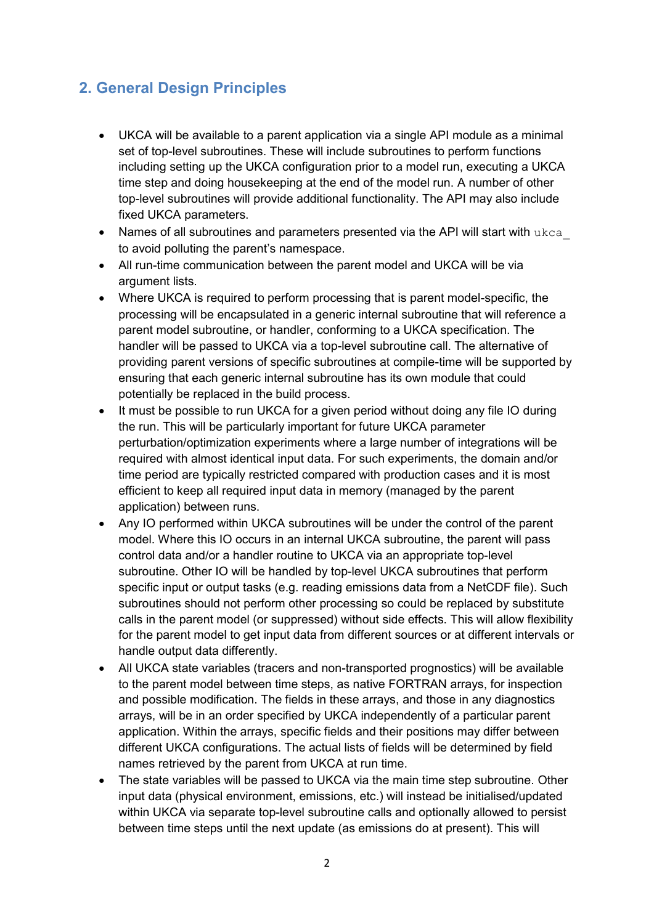# <span id="page-2-0"></span>**2. General Design Principles**

- UKCA will be available to a parent application via a single API module as a minimal set of top-level subroutines. These will include subroutines to perform functions including setting up the UKCA configuration prior to a model run, executing a UKCA time step and doing housekeeping at the end of the model run. A number of other top-level subroutines will provide additional functionality. The API may also include fixed UKCA parameters.
- Names of all subroutines and parameters presented via the API will start with ukca to avoid polluting the parent's namespace.
- All run-time communication between the parent model and UKCA will be via argument lists.
- Where UKCA is required to perform processing that is parent model-specific, the processing will be encapsulated in a generic internal subroutine that will reference a parent model subroutine, or handler, conforming to a UKCA specification. The handler will be passed to UKCA via a top-level subroutine call. The alternative of providing parent versions of specific subroutines at compile-time will be supported by ensuring that each generic internal subroutine has its own module that could potentially be replaced in the build process.
- It must be possible to run UKCA for a given period without doing any file IO during the run. This will be particularly important for future UKCA parameter perturbation/optimization experiments where a large number of integrations will be required with almost identical input data. For such experiments, the domain and/or time period are typically restricted compared with production cases and it is most efficient to keep all required input data in memory (managed by the parent application) between runs.
- Any IO performed within UKCA subroutines will be under the control of the parent model. Where this IO occurs in an internal UKCA subroutine, the parent will pass control data and/or a handler routine to UKCA via an appropriate top-level subroutine. Other IO will be handled by top-level UKCA subroutines that perform specific input or output tasks (e.g. reading emissions data from a NetCDF file). Such subroutines should not perform other processing so could be replaced by substitute calls in the parent model (or suppressed) without side effects. This will allow flexibility for the parent model to get input data from different sources or at different intervals or handle output data differently.
- All UKCA state variables (tracers and non-transported prognostics) will be available to the parent model between time steps, as native FORTRAN arrays, for inspection and possible modification. The fields in these arrays, and those in any diagnostics arrays, will be in an order specified by UKCA independently of a particular parent application. Within the arrays, specific fields and their positions may differ between different UKCA configurations. The actual lists of fields will be determined by field names retrieved by the parent from UKCA at run time.
- The state variables will be passed to UKCA via the main time step subroutine. Other input data (physical environment, emissions, etc.) will instead be initialised/updated within UKCA via separate top-level subroutine calls and optionally allowed to persist between time steps until the next update (as emissions do at present). This will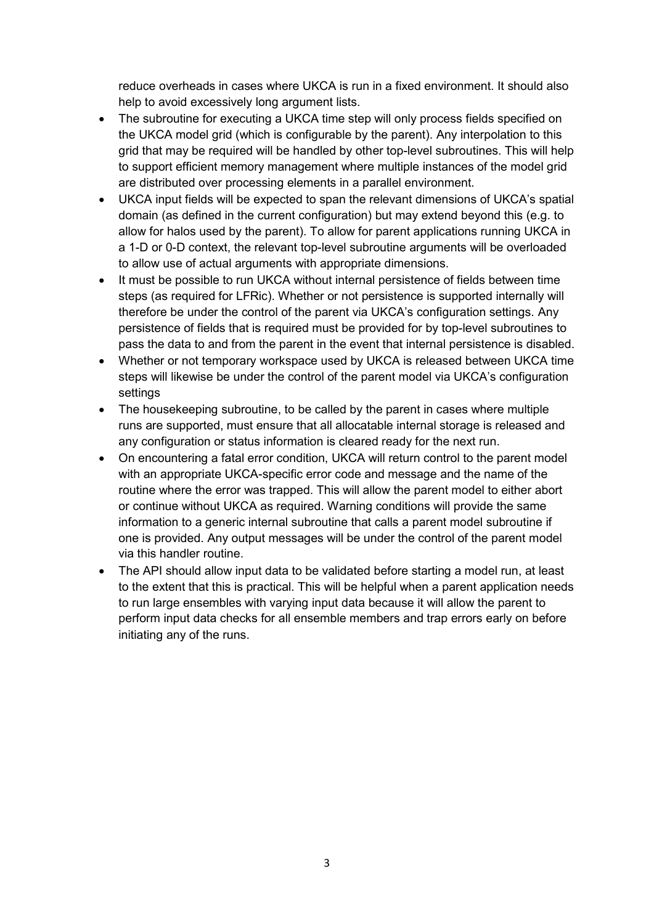reduce overheads in cases where UKCA is run in a fixed environment. It should also help to avoid excessively long argument lists.

- The subroutine for executing a UKCA time step will only process fields specified on the UKCA model grid (which is configurable by the parent). Any interpolation to this grid that may be required will be handled by other top-level subroutines. This will help to support efficient memory management where multiple instances of the model grid are distributed over processing elements in a parallel environment.
- UKCA input fields will be expected to span the relevant dimensions of UKCA's spatial domain (as defined in the current configuration) but may extend beyond this (e.g. to allow for halos used by the parent). To allow for parent applications running UKCA in a 1-D or 0-D context, the relevant top-level subroutine arguments will be overloaded to allow use of actual arguments with appropriate dimensions.
- It must be possible to run UKCA without internal persistence of fields between time steps (as required for LFRic). Whether or not persistence is supported internally will therefore be under the control of the parent via UKCA's configuration settings. Any persistence of fields that is required must be provided for by top-level subroutines to pass the data to and from the parent in the event that internal persistence is disabled.
- Whether or not temporary workspace used by UKCA is released between UKCA time steps will likewise be under the control of the parent model via UKCA's configuration settings
- The housekeeping subroutine, to be called by the parent in cases where multiple runs are supported, must ensure that all allocatable internal storage is released and any configuration or status information is cleared ready for the next run.
- On encountering a fatal error condition, UKCA will return control to the parent model with an appropriate UKCA-specific error code and message and the name of the routine where the error was trapped. This will allow the parent model to either abort or continue without UKCA as required. Warning conditions will provide the same information to a generic internal subroutine that calls a parent model subroutine if one is provided. Any output messages will be under the control of the parent model via this handler routine.
- The API should allow input data to be validated before starting a model run, at least to the extent that this is practical. This will be helpful when a parent application needs to run large ensembles with varying input data because it will allow the parent to perform input data checks for all ensemble members and trap errors early on before initiating any of the runs.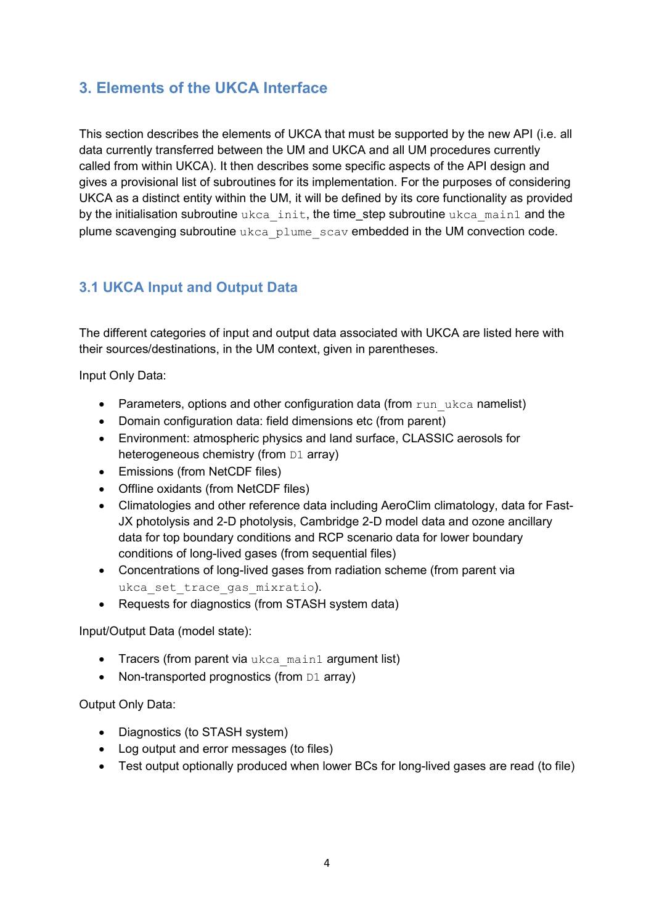# <span id="page-4-0"></span>**3. Elements of the UKCA Interface**

This section describes the elements of UKCA that must be supported by the new API (i.e. all data currently transferred between the UM and UKCA and all UM procedures currently called from within UKCA). It then describes some specific aspects of the API design and gives a provisional list of subroutines for its implementation. For the purposes of considering UKCA as a distinct entity within the UM, it will be defined by its core functionality as provided by the initialisation subroutine ukca\_init, the time\_step subroutine ukca\_main1 and the plume scavenging subroutine ukca\_plume\_scav embedded in the UM convection code.

# <span id="page-4-1"></span>**3.1 UKCA Input and Output Data**

The different categories of input and output data associated with UKCA are listed here with their sources/destinations, in the UM context, given in parentheses.

Input Only Data:

- Parameters, options and other configuration data (from run ukca namelist)
- Domain configuration data: field dimensions etc (from parent)
- Environment: atmospheric physics and land surface, CLASSIC aerosols for heterogeneous chemistry (from D1 array)
- Emissions (from NetCDF files)
- Offline oxidants (from NetCDF files)
- Climatologies and other reference data including AeroClim climatology, data for Fast-JX photolysis and 2-D photolysis, Cambridge 2-D model data and ozone ancillary data for top boundary conditions and RCP scenario data for lower boundary conditions of long-lived gases (from sequential files)
- Concentrations of long-lived gases from radiation scheme (from parent via ukca set trace gas mixratio).
- Requests for diagnostics (from STASH system data)

Input/Output Data (model state):

- Tracers (from parent via ukca\_main1 argument list)
- Non-transported prognostics (from  $DI$  array)

### Output Only Data:

- Diagnostics (to STASH system)
- Log output and error messages (to files)
- Test output optionally produced when lower BCs for long-lived gases are read (to file)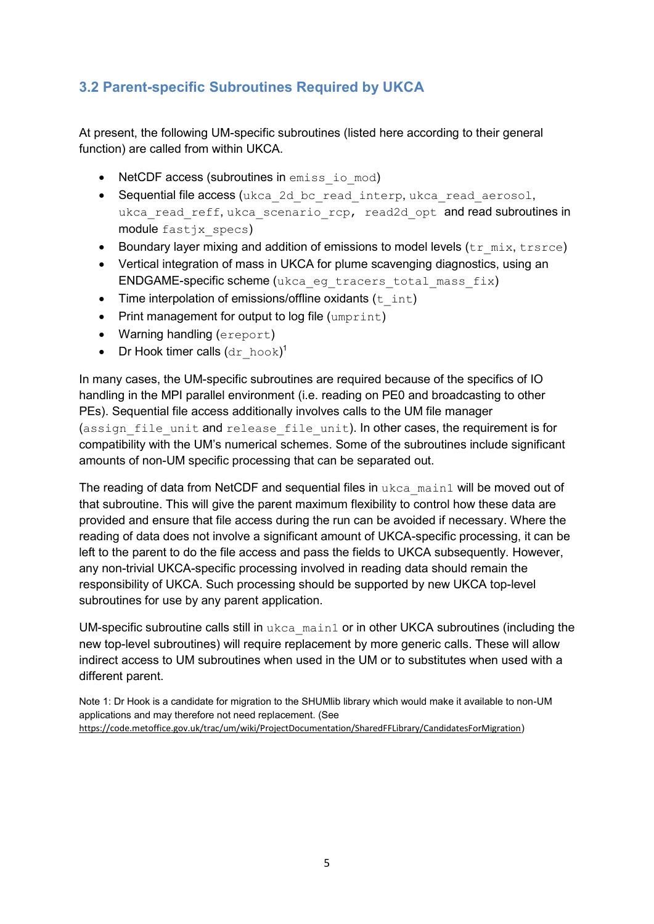# <span id="page-5-0"></span>**3.2 Parent-specific Subroutines Required by UKCA**

At present, the following UM-specific subroutines (listed here according to their general function) are called from within UKCA.

- NetCDF access (subroutines in emiss io mod)
- Sequential file access (ukca 2d bc read interp, ukca read aerosol, ukca read reff, ukca scenario rcp, read2d opt and read subroutines in module fastjx specs)
- Boundary layer mixing and addition of emissions to model levels  $(tr_mix, trsrce)$
- Vertical integration of mass in UKCA for plume scavenging diagnostics, using an ENDGAME-specific scheme (ukca eg tracers total mass fix)
- Time interpolation of emissions/offline oxidants  $(t$  int)
- $\bullet$  Print management for output to log file (umprint)
- Warning handling (ereport)
- Dr Hook timer calls  $(\text{dr~hook})^1$

In many cases, the UM-specific subroutines are required because of the specifics of IO handling in the MPI parallel environment (i.e. reading on PE0 and broadcasting to other PEs). Sequential file access additionally involves calls to the UM file manager (assign file unit and release file unit). In other cases, the requirement is for compatibility with the UM's numerical schemes. Some of the subroutines include significant amounts of non-UM specific processing that can be separated out.

The reading of data from NetCDF and sequential files in ukca\_main1 will be moved out of that subroutine. This will give the parent maximum flexibility to control how these data are provided and ensure that file access during the run can be avoided if necessary. Where the reading of data does not involve a significant amount of UKCA-specific processing, it can be left to the parent to do the file access and pass the fields to UKCA subsequently. However, any non-trivial UKCA-specific processing involved in reading data should remain the responsibility of UKCA. Such processing should be supported by new UKCA top-level subroutines for use by any parent application.

UM-specific subroutine calls still in  $ukca$  main1 or in other UKCA subroutines (including the new top-level subroutines) will require replacement by more generic calls. These will allow indirect access to UM subroutines when used in the UM or to substitutes when used with a different parent.

Note 1: Dr Hook is a candidate for migration to the SHUMlib library which would make it available to non-UM applications and may therefore not need replacement. (See <https://code.metoffice.gov.uk/trac/um/wiki/ProjectDocumentation/SharedFFLibrary/CandidatesForMigration>)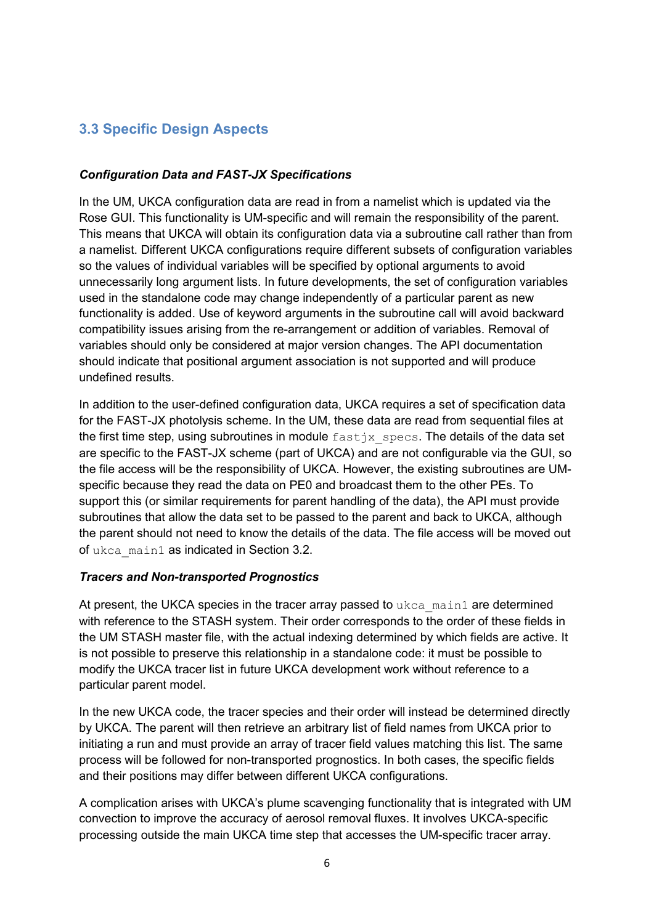# <span id="page-6-0"></span>**3.3 Specific Design Aspects**

### *Configuration Data and FAST-JX Specifications*

In the UM, UKCA configuration data are read in from a namelist which is updated via the Rose GUI. This functionality is UM-specific and will remain the responsibility of the parent. This means that UKCA will obtain its configuration data via a subroutine call rather than from a namelist. Different UKCA configurations require different subsets of configuration variables so the values of individual variables will be specified by optional arguments to avoid unnecessarily long argument lists. In future developments, the set of configuration variables used in the standalone code may change independently of a particular parent as new functionality is added. Use of keyword arguments in the subroutine call will avoid backward compatibility issues arising from the re-arrangement or addition of variables. Removal of variables should only be considered at major version changes. The API documentation should indicate that positional argument association is not supported and will produce undefined results.

In addition to the user-defined configuration data, UKCA requires a set of specification data for the FAST-JX photolysis scheme. In the UM, these data are read from sequential files at the first time step, using subroutines in module  $f$  as  $t$  is  $s$  pecs. The details of the data set are specific to the FAST-JX scheme (part of UKCA) and are not configurable via the GUI, so the file access will be the responsibility of UKCA. However, the existing subroutines are UMspecific because they read the data on PE0 and broadcast them to the other PEs. To support this (or similar requirements for parent handling of the data), the API must provide subroutines that allow the data set to be passed to the parent and back to UKCA, although the parent should not need to know the details of the data. The file access will be moved out of ukca\_main1 as indicated in Section 3.2.

#### *Tracers and Non-transported Prognostics*

At present, the UKCA species in the tracer array passed to ukca\_main1 are determined with reference to the STASH system. Their order corresponds to the order of these fields in the UM STASH master file, with the actual indexing determined by which fields are active. It is not possible to preserve this relationship in a standalone code: it must be possible to modify the UKCA tracer list in future UKCA development work without reference to a particular parent model.

In the new UKCA code, the tracer species and their order will instead be determined directly by UKCA. The parent will then retrieve an arbitrary list of field names from UKCA prior to initiating a run and must provide an array of tracer field values matching this list. The same process will be followed for non-transported prognostics. In both cases, the specific fields and their positions may differ between different UKCA configurations.

A complication arises with UKCA's plume scavenging functionality that is integrated with UM convection to improve the accuracy of aerosol removal fluxes. It involves UKCA-specific processing outside the main UKCA time step that accesses the UM-specific tracer array.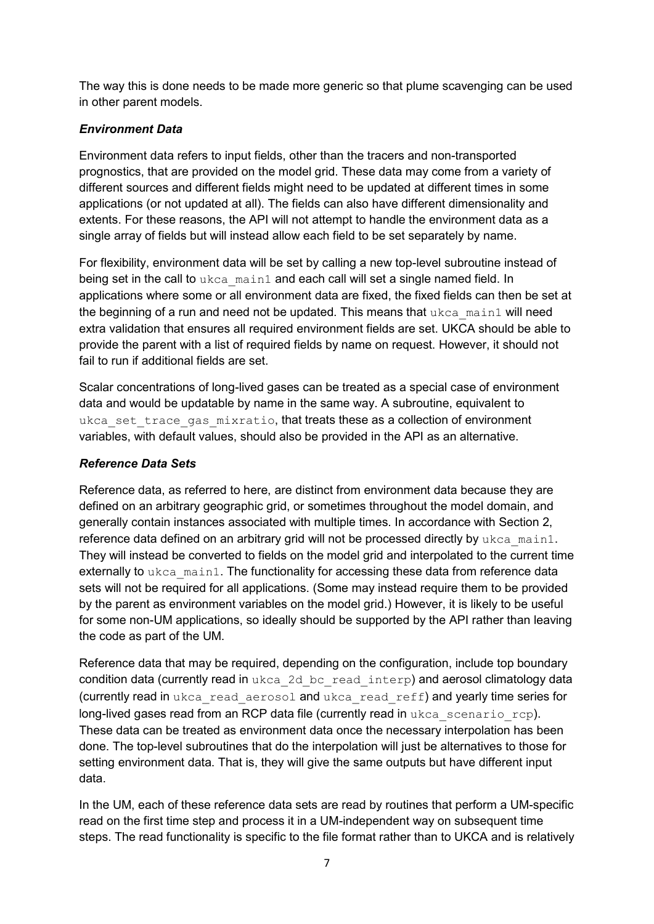The way this is done needs to be made more generic so that plume scavenging can be used in other parent models.

## *Environment Data*

Environment data refers to input fields, other than the tracers and non-transported prognostics, that are provided on the model grid. These data may come from a variety of different sources and different fields might need to be updated at different times in some applications (or not updated at all). The fields can also have different dimensionality and extents. For these reasons, the API will not attempt to handle the environment data as a single array of fields but will instead allow each field to be set separately by name.

For flexibility, environment data will be set by calling a new top-level subroutine instead of being set in the call to ukca\_main1 and each call will set a single named field. In applications where some or all environment data are fixed, the fixed fields can then be set at the beginning of a run and need not be updated. This means that ukca\_main1 will need extra validation that ensures all required environment fields are set. UKCA should be able to provide the parent with a list of required fields by name on request. However, it should not fail to run if additional fields are set.

Scalar concentrations of long-lived gases can be treated as a special case of environment data and would be updatable by name in the same way. A subroutine, equivalent to ukca set trace gas mixratio, that treats these as a collection of environment variables, with default values, should also be provided in the API as an alternative.

### *Reference Data Sets*

Reference data, as referred to here, are distinct from environment data because they are defined on an arbitrary geographic grid, or sometimes throughout the model domain, and generally contain instances associated with multiple times. In accordance with Section 2, reference data defined on an arbitrary grid will not be processed directly by  $ukca$  main1. They will instead be converted to fields on the model grid and interpolated to the current time externally to ukca\_main1. The functionality for accessing these data from reference data sets will not be required for all applications. (Some may instead require them to be provided by the parent as environment variables on the model grid.) However, it is likely to be useful for some non-UM applications, so ideally should be supported by the API rather than leaving the code as part of the UM.

Reference data that may be required, depending on the configuration, include top boundary condition data (currently read in ukca\_2d\_bc\_read\_interp) and aerosol climatology data (currently read in ukca\_read\_aerosol and ukca\_read\_reff) and yearly time series for long-lived gases read from an RCP data file (currently read in ukca scenario rcp). These data can be treated as environment data once the necessary interpolation has been done. The top-level subroutines that do the interpolation will just be alternatives to those for setting environment data. That is, they will give the same outputs but have different input data.

In the UM, each of these reference data sets are read by routines that perform a UM-specific read on the first time step and process it in a UM-independent way on subsequent time steps. The read functionality is specific to the file format rather than to UKCA and is relatively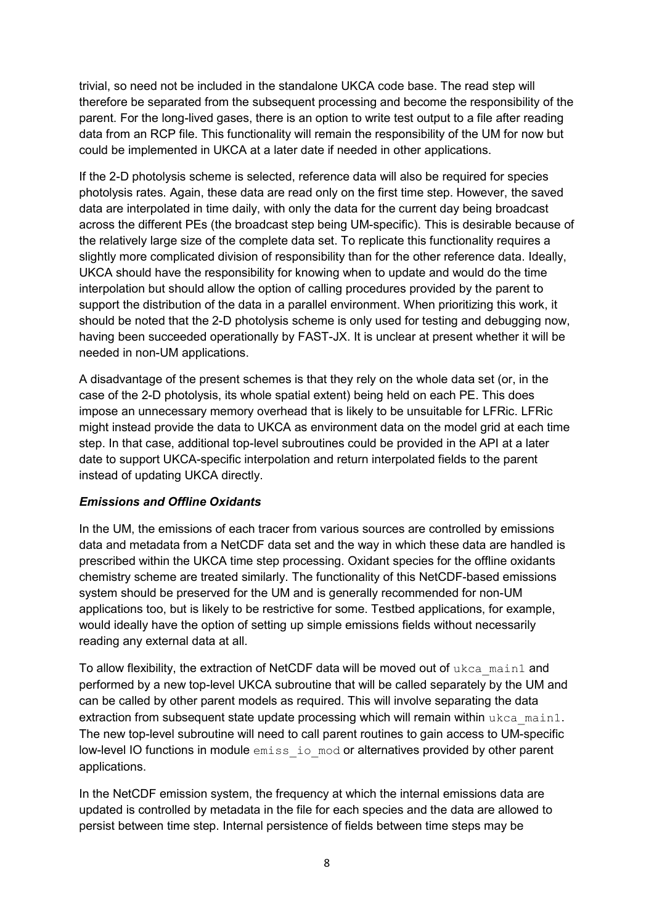trivial, so need not be included in the standalone UKCA code base. The read step will therefore be separated from the subsequent processing and become the responsibility of the parent. For the long-lived gases, there is an option to write test output to a file after reading data from an RCP file. This functionality will remain the responsibility of the UM for now but could be implemented in UKCA at a later date if needed in other applications.

If the 2-D photolysis scheme is selected, reference data will also be required for species photolysis rates. Again, these data are read only on the first time step. However, the saved data are interpolated in time daily, with only the data for the current day being broadcast across the different PEs (the broadcast step being UM-specific). This is desirable because of the relatively large size of the complete data set. To replicate this functionality requires a slightly more complicated division of responsibility than for the other reference data. Ideally, UKCA should have the responsibility for knowing when to update and would do the time interpolation but should allow the option of calling procedures provided by the parent to support the distribution of the data in a parallel environment. When prioritizing this work, it should be noted that the 2-D photolysis scheme is only used for testing and debugging now, having been succeeded operationally by FAST-JX. It is unclear at present whether it will be needed in non-UM applications.

A disadvantage of the present schemes is that they rely on the whole data set (or, in the case of the 2-D photolysis, its whole spatial extent) being held on each PE. This does impose an unnecessary memory overhead that is likely to be unsuitable for LFRic. LFRic might instead provide the data to UKCA as environment data on the model grid at each time step. In that case, additional top-level subroutines could be provided in the API at a later date to support UKCA-specific interpolation and return interpolated fields to the parent instead of updating UKCA directly.

### *Emissions and Offline Oxidants*

In the UM, the emissions of each tracer from various sources are controlled by emissions data and metadata from a NetCDF data set and the way in which these data are handled is prescribed within the UKCA time step processing. Oxidant species for the offline oxidants chemistry scheme are treated similarly. The functionality of this NetCDF-based emissions system should be preserved for the UM and is generally recommended for non-UM applications too, but is likely to be restrictive for some. Testbed applications, for example, would ideally have the option of setting up simple emissions fields without necessarily reading any external data at all.

To allow flexibility, the extraction of NetCDF data will be moved out of  $ukca$  main1 and performed by a new top-level UKCA subroutine that will be called separately by the UM and can be called by other parent models as required. This will involve separating the data extraction from subsequent state update processing which will remain within  $ukca$  main1. The new top-level subroutine will need to call parent routines to gain access to UM-specific low-level IO functions in module emiss io mod or alternatives provided by other parent applications.

In the NetCDF emission system, the frequency at which the internal emissions data are updated is controlled by metadata in the file for each species and the data are allowed to persist between time step. Internal persistence of fields between time steps may be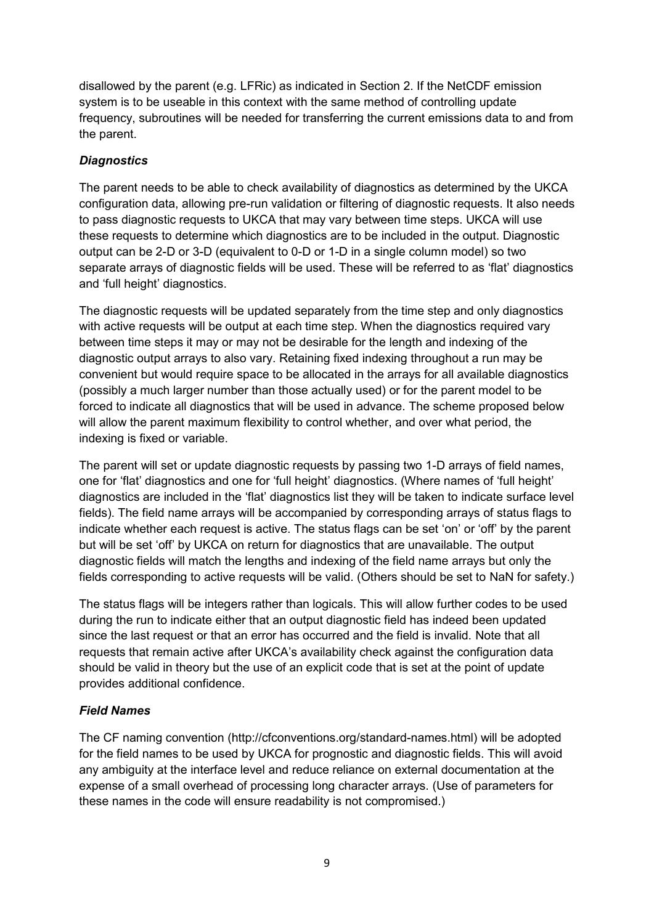disallowed by the parent (e.g. LFRic) as indicated in Section 2. If the NetCDF emission system is to be useable in this context with the same method of controlling update frequency, subroutines will be needed for transferring the current emissions data to and from the parent.

## *Diagnostics*

The parent needs to be able to check availability of diagnostics as determined by the UKCA configuration data, allowing pre-run validation or filtering of diagnostic requests. It also needs to pass diagnostic requests to UKCA that may vary between time steps. UKCA will use these requests to determine which diagnostics are to be included in the output. Diagnostic output can be 2-D or 3-D (equivalent to 0-D or 1-D in a single column model) so two separate arrays of diagnostic fields will be used. These will be referred to as 'flat' diagnostics and 'full height' diagnostics.

The diagnostic requests will be updated separately from the time step and only diagnostics with active requests will be output at each time step. When the diagnostics required vary between time steps it may or may not be desirable for the length and indexing of the diagnostic output arrays to also vary. Retaining fixed indexing throughout a run may be convenient but would require space to be allocated in the arrays for all available diagnostics (possibly a much larger number than those actually used) or for the parent model to be forced to indicate all diagnostics that will be used in advance. The scheme proposed below will allow the parent maximum flexibility to control whether, and over what period, the indexing is fixed or variable.

The parent will set or update diagnostic requests by passing two 1-D arrays of field names, one for 'flat' diagnostics and one for 'full height' diagnostics. (Where names of 'full height' diagnostics are included in the 'flat' diagnostics list they will be taken to indicate surface level fields). The field name arrays will be accompanied by corresponding arrays of status flags to indicate whether each request is active. The status flags can be set 'on' or 'off' by the parent but will be set 'off' by UKCA on return for diagnostics that are unavailable. The output diagnostic fields will match the lengths and indexing of the field name arrays but only the fields corresponding to active requests will be valid. (Others should be set to NaN for safety.)

The status flags will be integers rather than logicals. This will allow further codes to be used during the run to indicate either that an output diagnostic field has indeed been updated since the last request or that an error has occurred and the field is invalid. Note that all requests that remain active after UKCA's availability check against the configuration data should be valid in theory but the use of an explicit code that is set at the point of update provides additional confidence.

### *Field Names*

The CF naming convention (http://cfconventions.org/standard-names.html) will be adopted for the field names to be used by UKCA for prognostic and diagnostic fields. This will avoid any ambiguity at the interface level and reduce reliance on external documentation at the expense of a small overhead of processing long character arrays. (Use of parameters for these names in the code will ensure readability is not compromised.)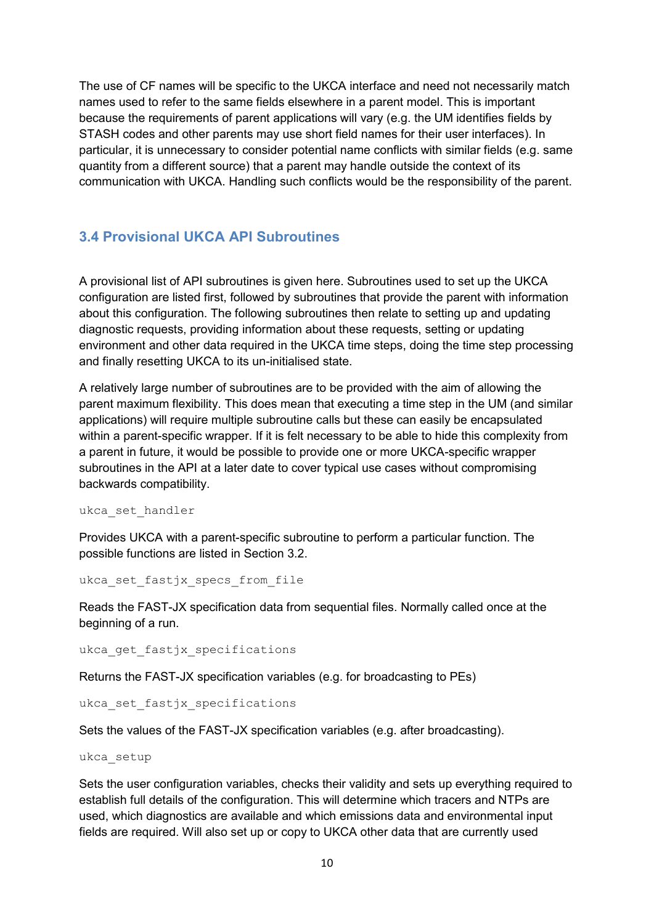The use of CF names will be specific to the UKCA interface and need not necessarily match names used to refer to the same fields elsewhere in a parent model. This is important because the requirements of parent applications will vary (e.g. the UM identifies fields by STASH codes and other parents may use short field names for their user interfaces). In particular, it is unnecessary to consider potential name conflicts with similar fields (e.g. same quantity from a different source) that a parent may handle outside the context of its communication with UKCA. Handling such conflicts would be the responsibility of the parent.

# <span id="page-10-0"></span>**3.4 Provisional UKCA API Subroutines**

A provisional list of API subroutines is given here. Subroutines used to set up the UKCA configuration are listed first, followed by subroutines that provide the parent with information about this configuration. The following subroutines then relate to setting up and updating diagnostic requests, providing information about these requests, setting or updating environment and other data required in the UKCA time steps, doing the time step processing and finally resetting UKCA to its un-initialised state.

A relatively large number of subroutines are to be provided with the aim of allowing the parent maximum flexibility. This does mean that executing a time step in the UM (and similar applications) will require multiple subroutine calls but these can easily be encapsulated within a parent-specific wrapper. If it is felt necessary to be able to hide this complexity from a parent in future, it would be possible to provide one or more UKCA-specific wrapper subroutines in the API at a later date to cover typical use cases without compromising backwards compatibility.

ukca\_set\_handler

Provides UKCA with a parent-specific subroutine to perform a particular function. The possible functions are listed in Section 3.2.

ukca set fastjx specs from file

Reads the FAST-JX specification data from sequential files. Normally called once at the beginning of a run.

ukca get fastjx specifications

Returns the FAST-JX specification variables (e.g. for broadcasting to PEs)

ukca set fastjx specifications

Sets the values of the FAST-JX specification variables (e.g. after broadcasting).

ukca\_setup

Sets the user configuration variables, checks their validity and sets up everything required to establish full details of the configuration. This will determine which tracers and NTPs are used, which diagnostics are available and which emissions data and environmental input fields are required. Will also set up or copy to UKCA other data that are currently used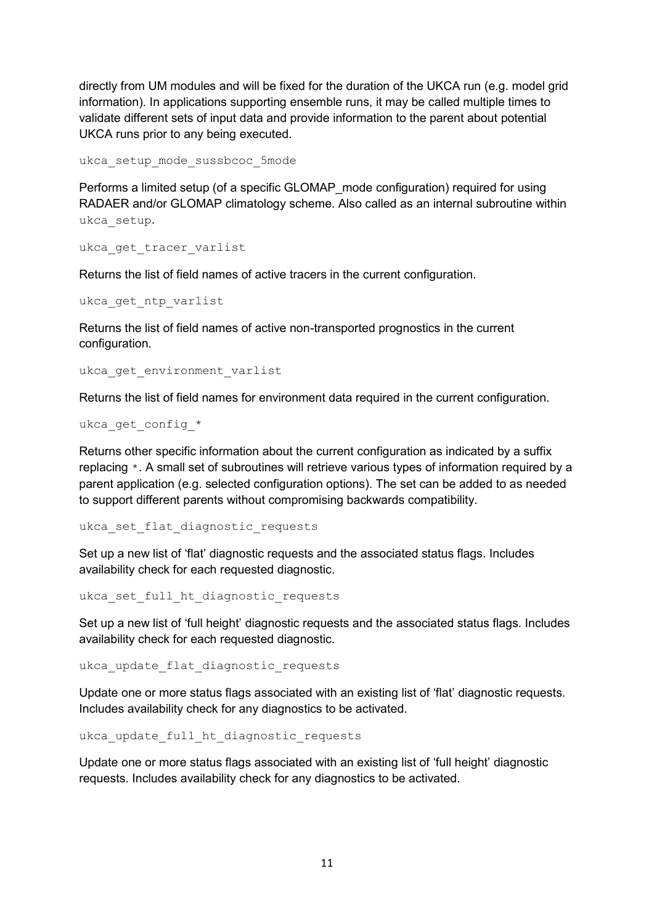directly from UM modules and will be fixed for the duration of the UKCA run (e.g. model grid information). In applications supporting ensemble runs, it may be called multiple times to validate different sets of input data and provide information to the parent about potential UKCA runs prior to any being executed.

ukca\_setup\_mode\_sussbcoc\_5mode

Performs a limited setup (of a specific GLOMAP\_mode configuration) required for using RADAER and/or GLOMAP climatology scheme. Also called as an internal subroutine within ukca\_setup.

ukca get tracer varlist

Returns the list of field names of active tracers in the current configuration.

ukca\_get\_ntp\_varlist

Returns the list of field names of active non-transported prognostics in the current configuration.

ukca get environment varlist

Returns the list of field names for environment data required in the current configuration.

ukca get config \*

Returns other specific information about the current configuration as indicated by a suffix replacing \*. A small set of subroutines will retrieve various types of information required by a parent application (e.g. selected configuration options). The set can be added to as needed to support different parents without compromising backwards compatibility.

ukca set flat diagnostic requests

Set up a new list of 'flat' diagnostic requests and the associated status flags. Includes availability check for each requested diagnostic.

ukca set full ht diagnostic requests

Set up a new list of 'full height' diagnostic requests and the associated status flags. Includes availability check for each requested diagnostic.

ukca update flat diagnostic requests

Update one or more status flags associated with an existing list of 'flat' diagnostic requests. Includes availability check for any diagnostics to be activated.

ukca update full ht diagnostic requests

Update one or more status flags associated with an existing list of 'full height' diagnostic requests. Includes availability check for any diagnostics to be activated.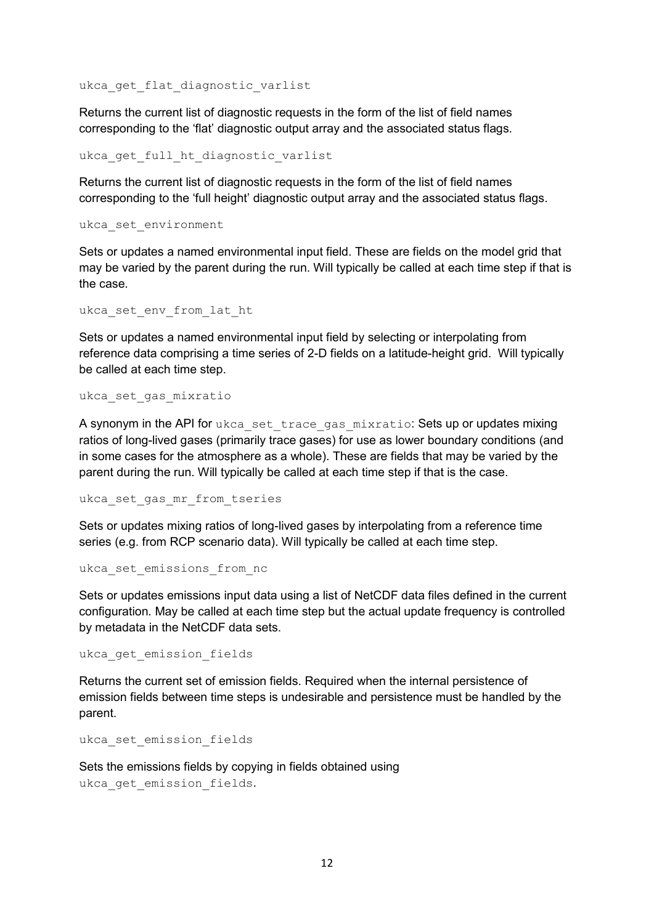ukca get flat diagnostic varlist

Returns the current list of diagnostic requests in the form of the list of field names corresponding to the 'flat' diagnostic output array and the associated status flags.

ukca get full ht diagnostic varlist

Returns the current list of diagnostic requests in the form of the list of field names corresponding to the 'full height' diagnostic output array and the associated status flags.

ukca\_set\_environment

Sets or updates a named environmental input field. These are fields on the model grid that may be varied by the parent during the run. Will typically be called at each time step if that is the case.

ukca set env from lat ht

Sets or updates a named environmental input field by selecting or interpolating from reference data comprising a time series of 2-D fields on a latitude-height grid. Will typically be called at each time step.

ukca set gas mixratio

A synonym in the API for ukca set trace gas mixratio: Sets up or updates mixing ratios of long-lived gases (primarily trace gases) for use as lower boundary conditions (and in some cases for the atmosphere as a whole). These are fields that may be varied by the parent during the run. Will typically be called at each time step if that is the case.

ukca set gas mr from tseries

Sets or updates mixing ratios of long-lived gases by interpolating from a reference time series (e.g. from RCP scenario data). Will typically be called at each time step.

ukca set emissions from nc

Sets or updates emissions input data using a list of NetCDF data files defined in the current configuration. May be called at each time step but the actual update frequency is controlled by metadata in the NetCDF data sets.

ukca get emission fields

Returns the current set of emission fields. Required when the internal persistence of emission fields between time steps is undesirable and persistence must be handled by the parent.

ukca set emission fields

Sets the emissions fields by copying in fields obtained using ukca get emission fields.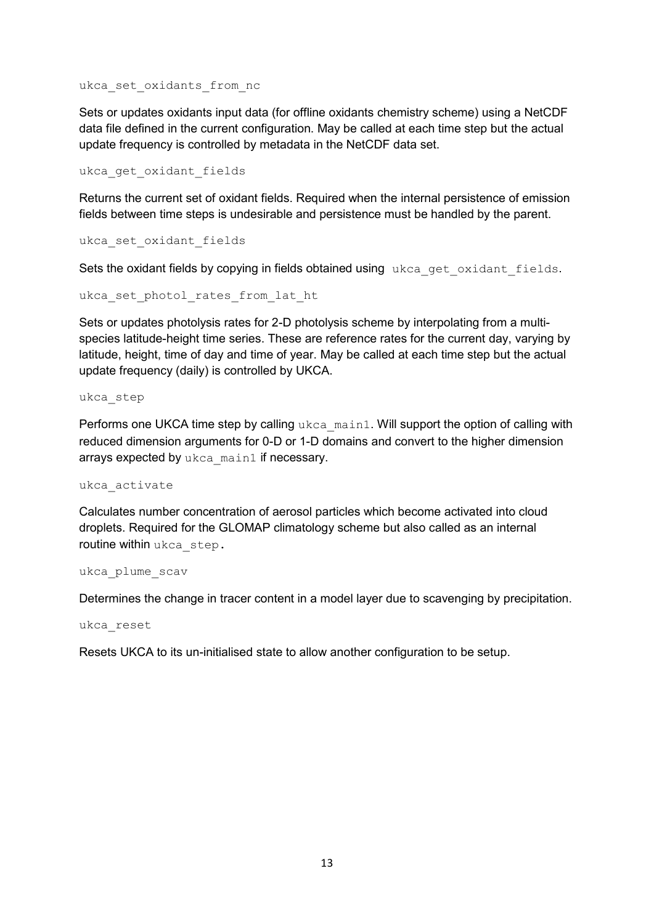ukca set oxidants from nc

Sets or updates oxidants input data (for offline oxidants chemistry scheme) using a NetCDF data file defined in the current configuration. May be called at each time step but the actual update frequency is controlled by metadata in the NetCDF data set.

ukca get oxidant fields

Returns the current set of oxidant fields. Required when the internal persistence of emission fields between time steps is undesirable and persistence must be handled by the parent.

ukca\_set\_oxidant\_fields

Sets the oxidant fields by copying in fields obtained using ukca get oxidant fields.

ukca set photol rates from lat ht

Sets or updates photolysis rates for 2-D photolysis scheme by interpolating from a multispecies latitude-height time series. These are reference rates for the current day, varying by latitude, height, time of day and time of year. May be called at each time step but the actual update frequency (daily) is controlled by UKCA.

ukca\_step

Performs one UKCA time step by calling ukca\_main1. Will support the option of calling with reduced dimension arguments for 0-D or 1-D domains and convert to the higher dimension arrays expected by ukca\_main1 if necessary.

ukca\_activate

Calculates number concentration of aerosol particles which become activated into cloud droplets. Required for the GLOMAP climatology scheme but also called as an internal routine within ukca step.

ukca\_plume\_scav

Determines the change in tracer content in a model layer due to scavenging by precipitation.

ukca\_reset

Resets UKCA to its un-initialised state to allow another configuration to be setup.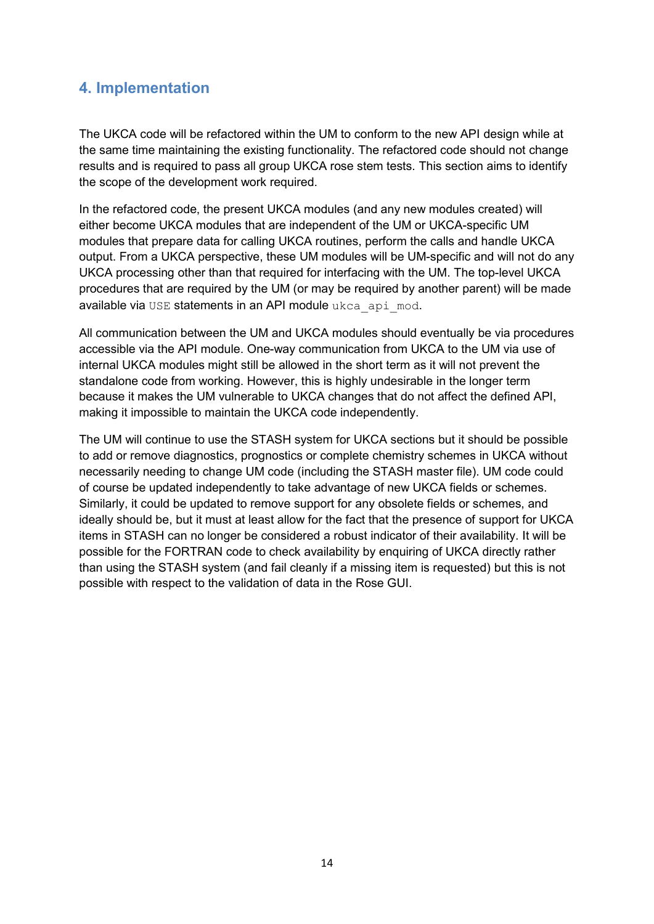# <span id="page-14-0"></span>**4. Implementation**

The UKCA code will be refactored within the UM to conform to the new API design while at the same time maintaining the existing functionality. The refactored code should not change results and is required to pass all group UKCA rose stem tests. This section aims to identify the scope of the development work required.

In the refactored code, the present UKCA modules (and any new modules created) will either become UKCA modules that are independent of the UM or UKCA-specific UM modules that prepare data for calling UKCA routines, perform the calls and handle UKCA output. From a UKCA perspective, these UM modules will be UM-specific and will not do any UKCA processing other than that required for interfacing with the UM. The top-level UKCA procedures that are required by the UM (or may be required by another parent) will be made available via USE statements in an API module ukca api mod.

All communication between the UM and UKCA modules should eventually be via procedures accessible via the API module. One-way communication from UKCA to the UM via use of internal UKCA modules might still be allowed in the short term as it will not prevent the standalone code from working. However, this is highly undesirable in the longer term because it makes the UM vulnerable to UKCA changes that do not affect the defined API, making it impossible to maintain the UKCA code independently.

The UM will continue to use the STASH system for UKCA sections but it should be possible to add or remove diagnostics, prognostics or complete chemistry schemes in UKCA without necessarily needing to change UM code (including the STASH master file). UM code could of course be updated independently to take advantage of new UKCA fields or schemes. Similarly, it could be updated to remove support for any obsolete fields or schemes, and ideally should be, but it must at least allow for the fact that the presence of support for UKCA items in STASH can no longer be considered a robust indicator of their availability. It will be possible for the FORTRAN code to check availability by enquiring of UKCA directly rather than using the STASH system (and fail cleanly if a missing item is requested) but this is not possible with respect to the validation of data in the Rose GUI.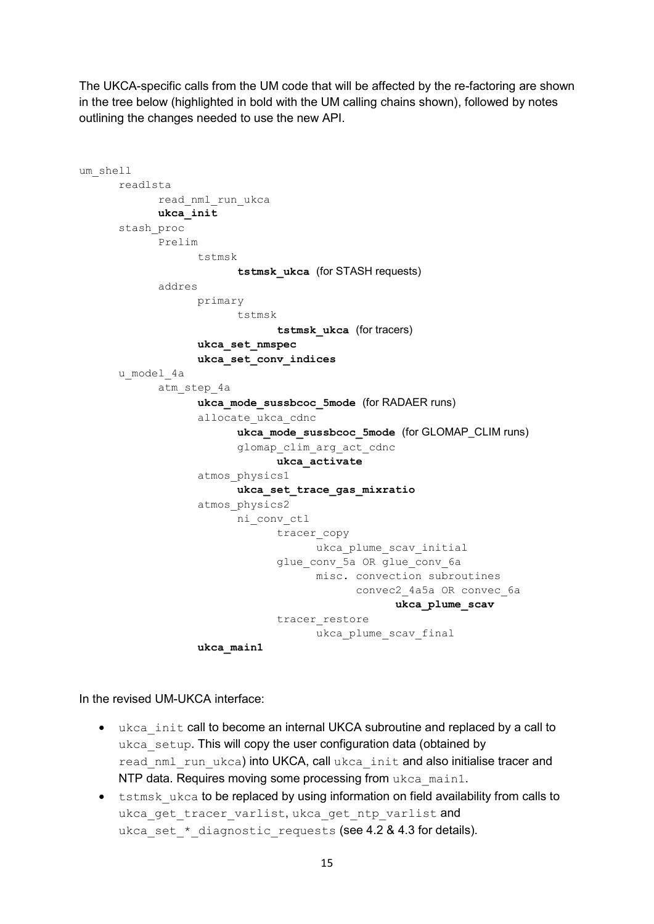The UKCA-specific calls from the UM code that will be affected by the re-factoring are shown in the tree below (highlighted in bold with the UM calling chains shown), followed by notes outlining the changes needed to use the new API.

```
um_shell
   readlsta
         read_nml_run_ukca
         ukca_init
   stash_proc
         Prelim
               tstmsk
                      tstmsk_ukca (for STASH requests)
         addres
               primary
                     tstmsk
                            tstmsk_ukca (for tracers)
               ukca_set_nmspec
               ukca_set_conv_indices
   u_model_4a
         atm_step_4a
               ukca_mode_sussbcoc_5mode (for RADAER runs)
               allocate_ukca_cdnc
                      ukca_mode_sussbcoc_5mode (for GLOMAP_CLIM runs)
                      glomap_clim_arg_act_cdnc
                            ukca_activate
               atmos_physics1
                     ukca_set_trace_gas_mixratio
               atmos_physics2
                     ni_conv_ctl
                            tracer_copy
                                  ukca plume scav initial
                            glue conv 5a OR glue conv 6a
                                  misc. convection subroutines
                                         convec2_4a5a OR convec_6a
                                              ukca_plume_scav
                            tracer restore
                                  ukca plume scav final
               ukca_main1
```
In the revised UM-UKCA interface:

- ukca init call to become an internal UKCA subroutine and replaced by a call to ukca setup. This will copy the user configuration data (obtained by read nml run ukca) into UKCA, call ukca init and also initialise tracer and NTP data. Requires moving some processing from ukca\_main1.
- tstmsk ukca to be replaced by using information on field availability from calls to ukca get tracer varlist, ukca get ntp\_varlist and ukca set \* diagnostic requests (see 4.2 & 4.3 for details).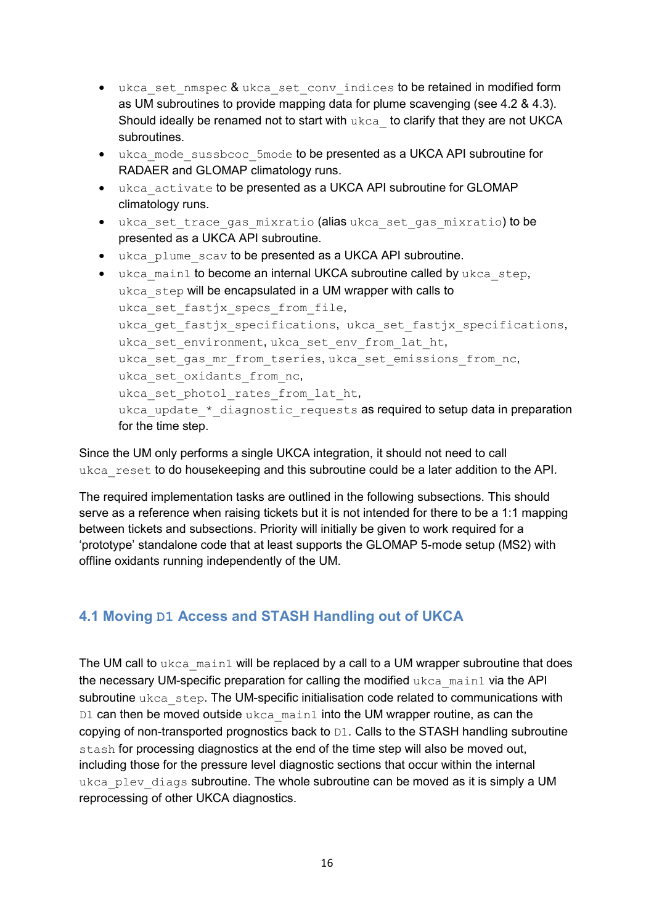- ukca set nmspec & ukca set conv indices to be retained in modified form as UM subroutines to provide mapping data for plume scavenging (see 4.2 & 4.3). Should ideally be renamed not to start with ukca to clarify that they are not UKCA subroutines.
- ukca mode sussbcoc 5mode to be presented as a UKCA API subroutine for RADAER and GLOMAP climatology runs.
- ukca\_activate to be presented as a UKCA API subroutine for GLOMAP climatology runs.
- ukca set trace gas mixratio (alias ukca set gas mixratio) to be presented as a UKCA API subroutine.
- ukca plume scav to be presented as a UKCA API subroutine.

```
• ukca main1 to become an internal UKCA subroutine called by ukca step.
ukca step will be encapsulated in a UM wrapper with calls to
ukca set fastjx specs from file,
ukca get fastjx specifications, ukca set fastjx specifications,
ukca set environment, ukca set env from lat ht,
ukca set gas mr from tseries, ukca set emissions from nc,
ukca set oxidants from nc,
ukca set photol rates from lat ht,
ukca update * diagnostic requests as required to setup data in preparation
for the time step.
```
Since the UM only performs a single UKCA integration, it should not need to call ukca reset to do housekeeping and this subroutine could be a later addition to the API.

The required implementation tasks are outlined in the following subsections. This should serve as a reference when raising tickets but it is not intended for there to be a 1:1 mapping between tickets and subsections. Priority will initially be given to work required for a 'prototype' standalone code that at least supports the GLOMAP 5-mode setup (MS2) with offline oxidants running independently of the UM.

# <span id="page-16-0"></span>**4.1 Moving D1 Access and STASH Handling out of UKCA**

The UM call to ukca\_main1 will be replaced by a call to a UM wrapper subroutine that does the necessary UM-specific preparation for calling the modified  $ukca$  main1 via the API subroutine ukca\_step. The UM-specific initialisation code related to communications with  $D1$  can then be moved outside ukca main1 into the UM wrapper routine, as can the copying of non-transported prognostics back to D1. Calls to the STASH handling subroutine stash for processing diagnostics at the end of the time step will also be moved out, including those for the pressure level diagnostic sections that occur within the internal ukca plev diags subroutine. The whole subroutine can be moved as it is simply a UM reprocessing of other UKCA diagnostics.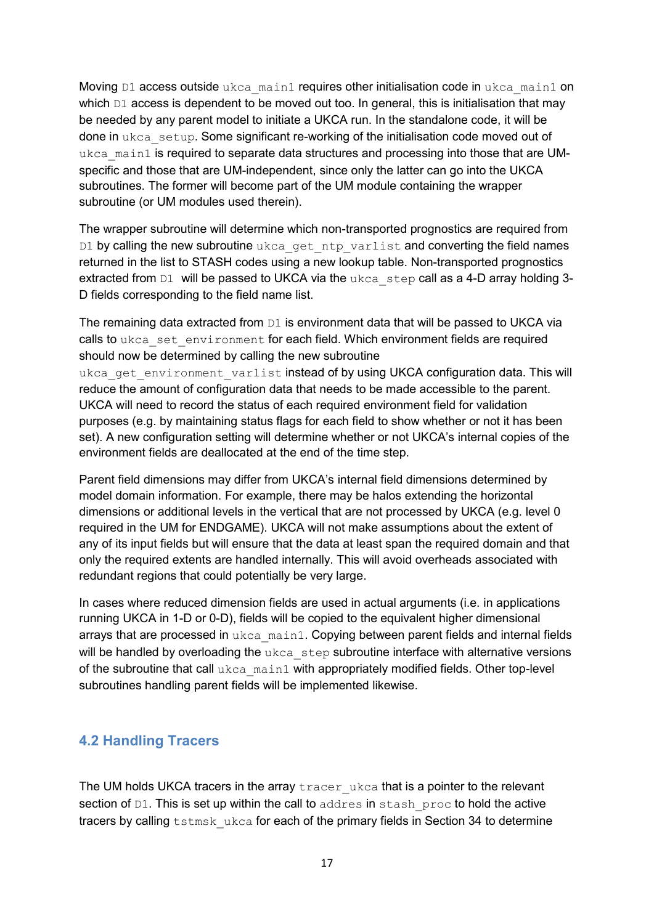Moving D1 access outside ukca main1 requires other initialisation code in ukca main1 on which D1 access is dependent to be moved out too. In general, this is initialisation that may be needed by any parent model to initiate a UKCA run. In the standalone code, it will be done in ukca setup. Some significant re-working of the initialisation code moved out of ukca main1 is required to separate data structures and processing into those that are UMspecific and those that are UM-independent, since only the latter can go into the UKCA subroutines. The former will become part of the UM module containing the wrapper subroutine (or UM modules used therein).

The wrapper subroutine will determine which non-transported prognostics are required from D1 by calling the new subroutine ukca get ntp varlist and converting the field names returned in the list to STASH codes using a new lookup table. Non-transported prognostics extracted from D1 will be passed to UKCA via the ukca step call as a 4-D array holding 3-D fields corresponding to the field name list.

The remaining data extracted from  $DI$  is environment data that will be passed to UKCA via calls to ukca set environment for each field. Which environment fields are required should now be determined by calling the new subroutine

ukca get environment varlist instead of by using UKCA configuration data. This will reduce the amount of configuration data that needs to be made accessible to the parent. UKCA will need to record the status of each required environment field for validation purposes (e.g. by maintaining status flags for each field to show whether or not it has been set). A new configuration setting will determine whether or not UKCA's internal copies of the environment fields are deallocated at the end of the time step.

Parent field dimensions may differ from UKCA's internal field dimensions determined by model domain information. For example, there may be halos extending the horizontal dimensions or additional levels in the vertical that are not processed by UKCA (e.g. level 0 required in the UM for ENDGAME). UKCA will not make assumptions about the extent of any of its input fields but will ensure that the data at least span the required domain and that only the required extents are handled internally. This will avoid overheads associated with redundant regions that could potentially be very large.

In cases where reduced dimension fields are used in actual arguments (i.e. in applications running UKCA in 1-D or 0-D), fields will be copied to the equivalent higher dimensional arrays that are processed in ukca\_main1. Copying between parent fields and internal fields will be handled by overloading the ukca step subroutine interface with alternative versions of the subroutine that call ukca\_main1 with appropriately modified fields. Other top-level subroutines handling parent fields will be implemented likewise.

# <span id="page-17-0"></span>**4.2 Handling Tracers**

The UM holds UKCA tracers in the array tracer ukca that is a pointer to the relevant section of D1. This is set up within the call to addres in stash proc to hold the active tracers by calling tstmsk ukca for each of the primary fields in Section 34 to determine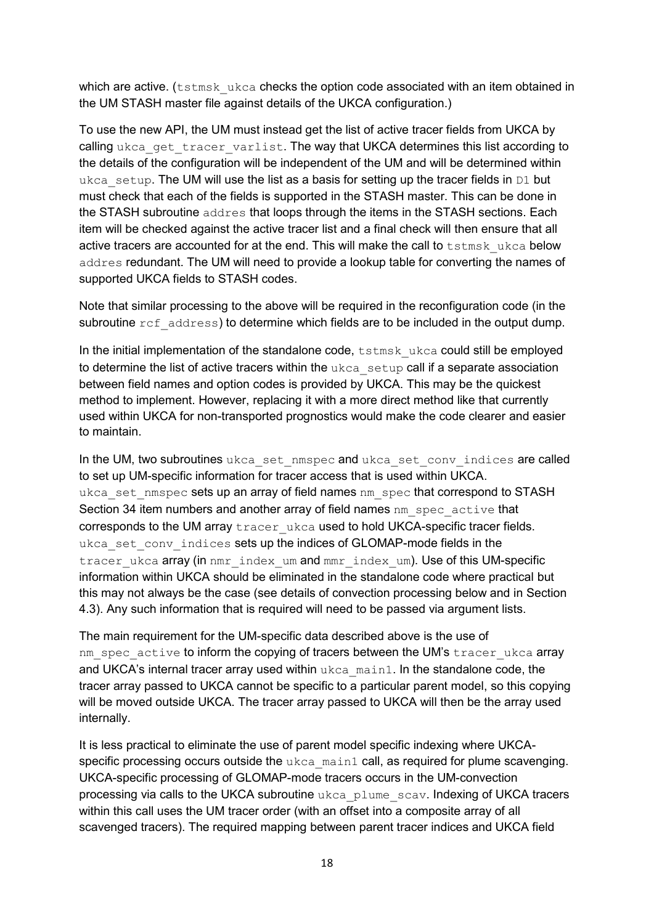which are active. (tstmsk ukca checks the option code associated with an item obtained in the UM STASH master file against details of the UKCA configuration.)

To use the new API, the UM must instead get the list of active tracer fields from UKCA by calling ukca\_get\_tracer\_varlist. The way that UKCA determines this list according to the details of the configuration will be independent of the UM and will be determined within ukca setup. The UM will use the list as a basis for setting up the tracer fields in  $DI$  but must check that each of the fields is supported in the STASH master. This can be done in the STASH subroutine addres that loops through the items in the STASH sections. Each item will be checked against the active tracer list and a final check will then ensure that all active tracers are accounted for at the end. This will make the call to tstmsk ukca below addres redundant. The UM will need to provide a lookup table for converting the names of supported UKCA fields to STASH codes.

Note that similar processing to the above will be required in the reconfiguration code (in the subroutine  $ref$  address) to determine which fields are to be included in the output dump.

In the initial implementation of the standalone code,  $t$ stmsk\_ukca could still be employed to determine the list of active tracers within the ukca setup call if a separate association between field names and option codes is provided by UKCA. This may be the quickest method to implement. However, replacing it with a more direct method like that currently used within UKCA for non-transported prognostics would make the code clearer and easier to maintain.

In the UM, two subroutines ukca\_set\_nmspec and ukca\_set\_conv\_indices are called to set up UM-specific information for tracer access that is used within UKCA. ukca set nmspec sets up an array of field names nm spec that correspond to STASH Section 34 item numbers and another array of field names nm\_spec\_active that corresponds to the UM array tracer ukca used to hold UKCA-specific tracer fields. ukca set conv indices sets up the indices of GLOMAP-mode fields in the tracer ukca array (in nmr\_index\_um and mmr\_index\_um). Use of this UM-specific information within UKCA should be eliminated in the standalone code where practical but this may not always be the case (see details of convection processing below and in Section 4.3). Any such information that is required will need to be passed via argument lists.

The main requirement for the UM-specific data described above is the use of nm spec\_active to inform the copying of tracers between the UM's tracer\_ukca array and UKCA's internal tracer array used within ukca\_main1. In the standalone code, the tracer array passed to UKCA cannot be specific to a particular parent model, so this copying will be moved outside UKCA. The tracer array passed to UKCA will then be the array used internally.

It is less practical to eliminate the use of parent model specific indexing where UKCAspecific processing occurs outside the ukca main1 call, as required for plume scavenging. UKCA-specific processing of GLOMAP-mode tracers occurs in the UM-convection processing via calls to the UKCA subroutine ukca\_plume\_scav. Indexing of UKCA tracers within this call uses the UM tracer order (with an offset into a composite array of all scavenged tracers). The required mapping between parent tracer indices and UKCA field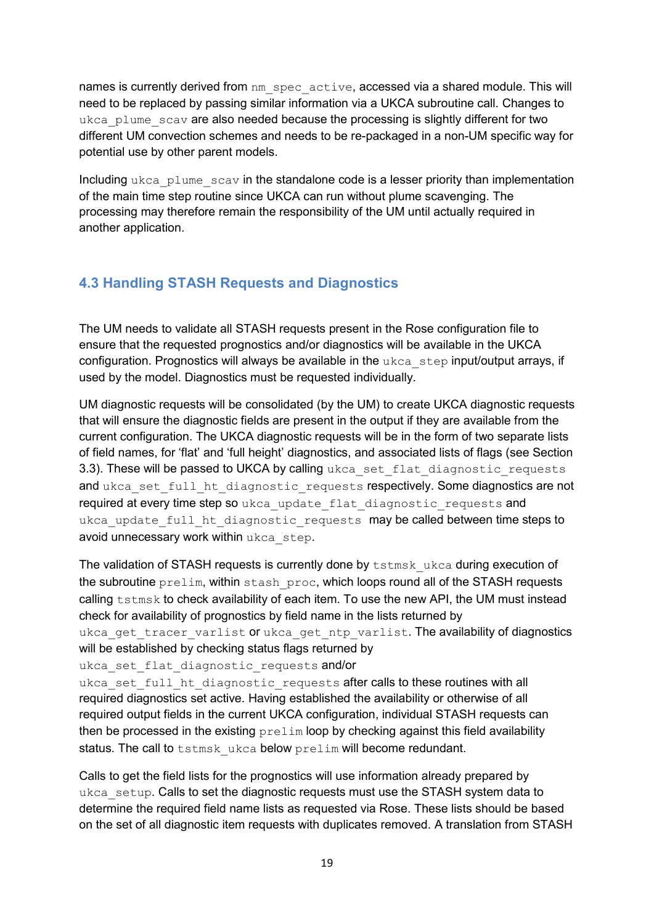names is currently derived from nm\_spec\_active, accessed via a shared module. This will need to be replaced by passing similar information via a UKCA subroutine call. Changes to ukca\_plume\_scav are also needed because the processing is slightly different for two different UM convection schemes and needs to be re-packaged in a non-UM specific way for potential use by other parent models.

Including ukca plume scav in the standalone code is a lesser priority than implementation of the main time step routine since UKCA can run without plume scavenging. The processing may therefore remain the responsibility of the UM until actually required in another application.

# <span id="page-19-0"></span>**4.3 Handling STASH Requests and Diagnostics**

The UM needs to validate all STASH requests present in the Rose configuration file to ensure that the requested prognostics and/or diagnostics will be available in the UKCA configuration. Prognostics will always be available in the ukca\_step input/output arrays, if used by the model. Diagnostics must be requested individually.

UM diagnostic requests will be consolidated (by the UM) to create UKCA diagnostic requests that will ensure the diagnostic fields are present in the output if they are available from the current configuration. The UKCA diagnostic requests will be in the form of two separate lists of field names, for 'flat' and 'full height' diagnostics, and associated lists of flags (see Section 3.3). These will be passed to UKCA by calling ukca\_set\_flat\_diagnostic\_requests and ukca\_set\_full\_ht\_diagnostic\_requests respectively. Some diagnostics are not required at every time step so ukca update flat diagnostic requests and ukca update full ht diagnostic requests may be called between time steps to avoid unnecessary work within ukca step.

The validation of STASH requests is currently done by tstmsk ukca during execution of the subroutine prelim, within stash proc, which loops round all of the STASH requests calling tstmsk to check availability of each item. To use the new API, the UM must instead check for availability of prognostics by field name in the lists returned by

ukca get tracer varlist or ukca get ntp varlist. The availability of diagnostics will be established by checking status flags returned by

#### ukca set flat diagnostic requests and/or

ukca set full ht diagnostic requests after calls to these routines with all required diagnostics set active. Having established the availability or otherwise of all required output fields in the current UKCA configuration, individual STASH requests can then be processed in the existing  $prelim$  loop by checking against this field availability status. The call to tstmsk ukca below prelim will become redundant.

Calls to get the field lists for the prognostics will use information already prepared by ukca setup. Calls to set the diagnostic requests must use the STASH system data to determine the required field name lists as requested via Rose. These lists should be based on the set of all diagnostic item requests with duplicates removed. A translation from STASH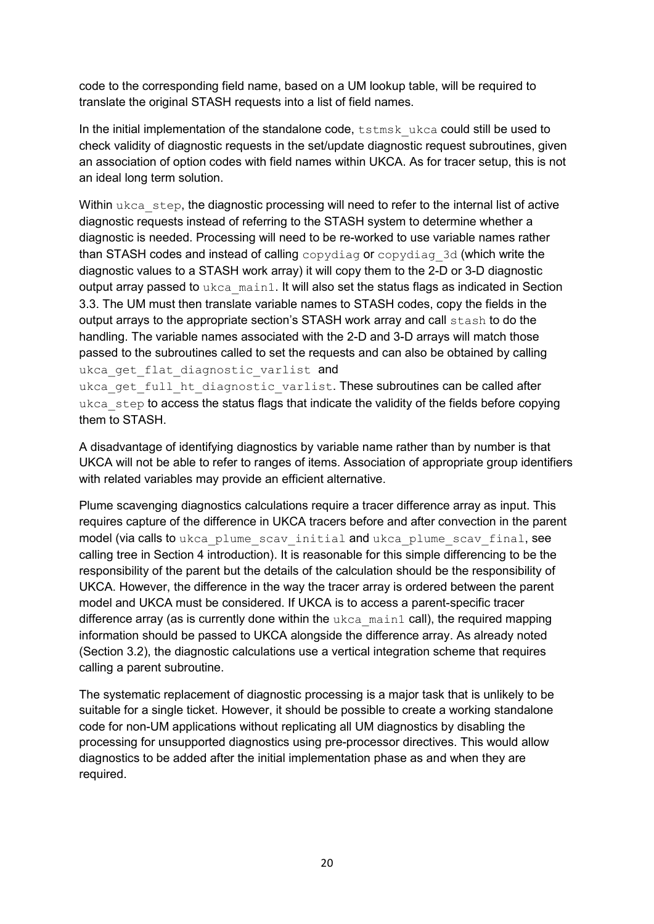code to the corresponding field name, based on a UM lookup table, will be required to translate the original STASH requests into a list of field names.

In the initial implementation of the standalone code,  $t$ stmsk\_ukca could still be used to check validity of diagnostic requests in the set/update diagnostic request subroutines, given an association of option codes with field names within UKCA. As for tracer setup, this is not an ideal long term solution.

Within ukca step, the diagnostic processing will need to refer to the internal list of active diagnostic requests instead of referring to the STASH system to determine whether a diagnostic is needed. Processing will need to be re-worked to use variable names rather than STASH codes and instead of calling copydiag or copydiag 3d (which write the diagnostic values to a STASH work array) it will copy them to the 2-D or 3-D diagnostic output array passed to ukca\_main1. It will also set the status flags as indicated in Section 3.3. The UM must then translate variable names to STASH codes, copy the fields in the output arrays to the appropriate section's STASH work array and call stash to do the handling. The variable names associated with the 2-D and 3-D arrays will match those passed to the subroutines called to set the requests and can also be obtained by calling ukca get flat diagnostic varlist and

ukca get full ht diagnostic varlist. These subroutines can be called after ukca\_step to access the status flags that indicate the validity of the fields before copying them to STASH.

A disadvantage of identifying diagnostics by variable name rather than by number is that UKCA will not be able to refer to ranges of items. Association of appropriate group identifiers with related variables may provide an efficient alternative.

Plume scavenging diagnostics calculations require a tracer difference array as input. This requires capture of the difference in UKCA tracers before and after convection in the parent model (via calls to ukca plume scav initial and ukca plume scav final, see calling tree in Section 4 introduction). It is reasonable for this simple differencing to be the responsibility of the parent but the details of the calculation should be the responsibility of UKCA. However, the difference in the way the tracer array is ordered between the parent model and UKCA must be considered. If UKCA is to access a parent-specific tracer difference array (as is currently done within the  $ukca$  main1 call), the required mapping information should be passed to UKCA alongside the difference array. As already noted (Section 3.2), the diagnostic calculations use a vertical integration scheme that requires calling a parent subroutine.

The systematic replacement of diagnostic processing is a major task that is unlikely to be suitable for a single ticket. However, it should be possible to create a working standalone code for non-UM applications without replicating all UM diagnostics by disabling the processing for unsupported diagnostics using pre-processor directives. This would allow diagnostics to be added after the initial implementation phase as and when they are required.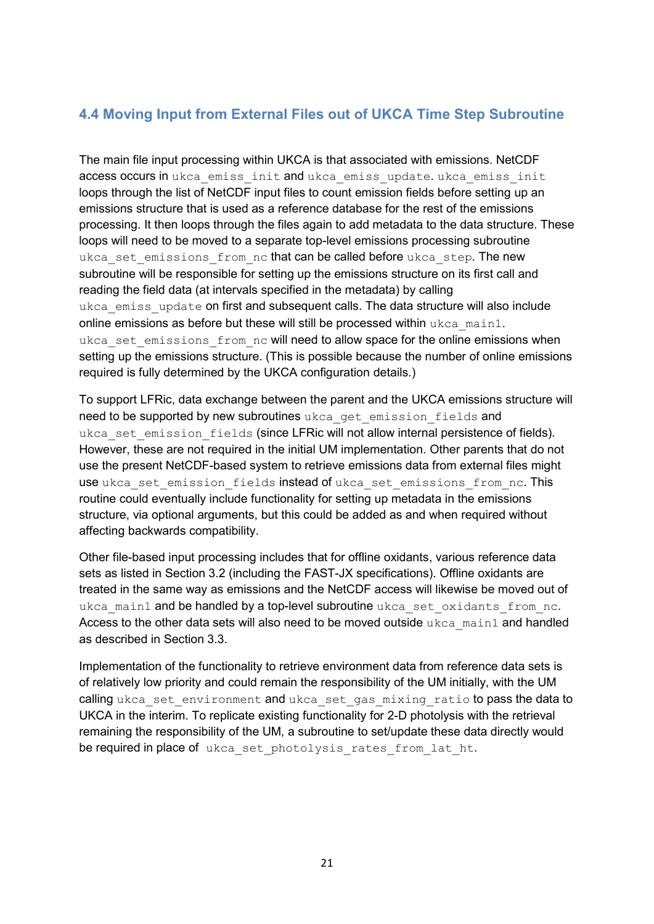# <span id="page-21-0"></span>**4.4 Moving Input from External Files out of UKCA Time Step Subroutine**

The main file input processing within UKCA is that associated with emissions. NetCDF access occurs in ukca emiss init and ukca emiss update. ukca emiss init loops through the list of NetCDF input files to count emission fields before setting up an emissions structure that is used as a reference database for the rest of the emissions processing. It then loops through the files again to add metadata to the data structure. These loops will need to be moved to a separate top-level emissions processing subroutine ukca set emissions from nc that can be called before ukca step. The new subroutine will be responsible for setting up the emissions structure on its first call and reading the field data (at intervals specified in the metadata) by calling ukca emiss update on first and subsequent calls. The data structure will also include online emissions as before but these will still be processed within  $ukca$  main1. ukca set emissions from nc will need to allow space for the online emissions when setting up the emissions structure. (This is possible because the number of online emissions required is fully determined by the UKCA configuration details.)

To support LFRic, data exchange between the parent and the UKCA emissions structure will need to be supported by new subroutines ukca\_get\_emission\_fields and ukca set emission fields (since LFRic will not allow internal persistence of fields). However, these are not required in the initial UM implementation. Other parents that do not use the present NetCDF-based system to retrieve emissions data from external files might use ukca set emission fields instead of ukca set emissions from nc. This routine could eventually include functionality for setting up metadata in the emissions structure, via optional arguments, but this could be added as and when required without affecting backwards compatibility.

Other file-based input processing includes that for offline oxidants, various reference data sets as listed in Section 3.2 (including the FAST-JX specifications). Offline oxidants are treated in the same way as emissions and the NetCDF access will likewise be moved out of ukca main1 and be handled by a top-level subroutine ukca set oxidants from nc. Access to the other data sets will also need to be moved outside ukca\_main1 and handled as described in Section 3.3.

Implementation of the functionality to retrieve environment data from reference data sets is of relatively low priority and could remain the responsibility of the UM initially, with the UM calling ukca set environment and ukca set gas mixing ratio to pass the data to UKCA in the interim. To replicate existing functionality for 2-D photolysis with the retrieval remaining the responsibility of the UM, a subroutine to set/update these data directly would be required in place of ukca set photolysis rates from lat ht.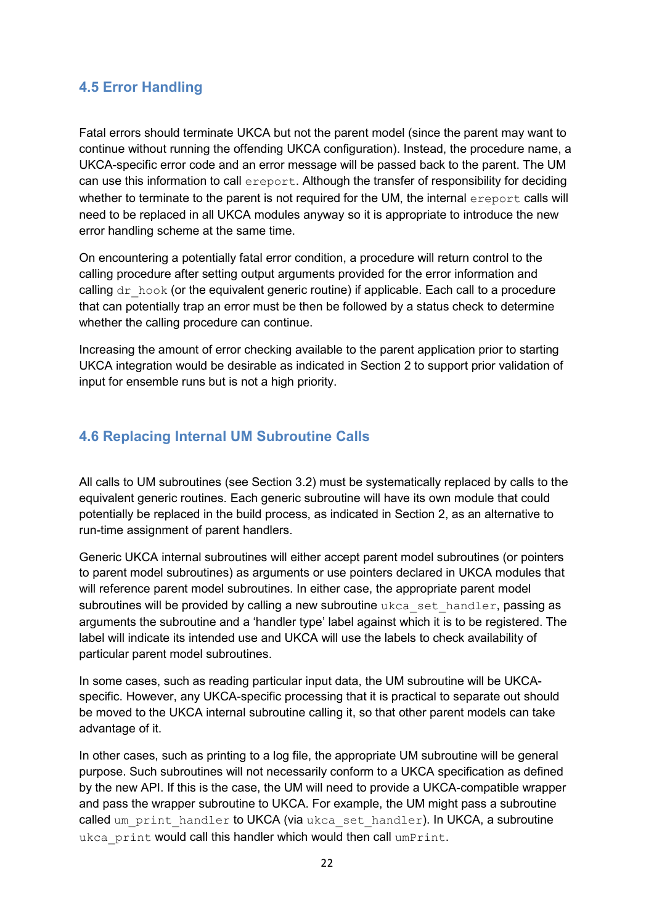# <span id="page-22-0"></span>**4.5 Error Handling**

Fatal errors should terminate UKCA but not the parent model (since the parent may want to continue without running the offending UKCA configuration). Instead, the procedure name, a UKCA-specific error code and an error message will be passed back to the parent. The UM can use this information to call ereport. Although the transfer of responsibility for deciding whether to terminate to the parent is not required for the UM, the internal exeport calls will need to be replaced in all UKCA modules anyway so it is appropriate to introduce the new error handling scheme at the same time.

On encountering a potentially fatal error condition, a procedure will return control to the calling procedure after setting output arguments provided for the error information and calling  $dr$  hook (or the equivalent generic routine) if applicable. Each call to a procedure that can potentially trap an error must be then be followed by a status check to determine whether the calling procedure can continue.

Increasing the amount of error checking available to the parent application prior to starting UKCA integration would be desirable as indicated in Section 2 to support prior validation of input for ensemble runs but is not a high priority.

# <span id="page-22-1"></span>**4.6 Replacing Internal UM Subroutine Calls**

All calls to UM subroutines (see Section 3.2) must be systematically replaced by calls to the equivalent generic routines. Each generic subroutine will have its own module that could potentially be replaced in the build process, as indicated in Section 2, as an alternative to run-time assignment of parent handlers.

Generic UKCA internal subroutines will either accept parent model subroutines (or pointers to parent model subroutines) as arguments or use pointers declared in UKCA modules that will reference parent model subroutines. In either case, the appropriate parent model subroutines will be provided by calling a new subroutine ukca\_set\_handler, passing as arguments the subroutine and a 'handler type' label against which it is to be registered. The label will indicate its intended use and UKCA will use the labels to check availability of particular parent model subroutines.

In some cases, such as reading particular input data, the UM subroutine will be UKCAspecific. However, any UKCA-specific processing that it is practical to separate out should be moved to the UKCA internal subroutine calling it, so that other parent models can take advantage of it.

In other cases, such as printing to a log file, the appropriate UM subroutine will be general purpose. Such subroutines will not necessarily conform to a UKCA specification as defined by the new API. If this is the case, the UM will need to provide a UKCA-compatible wrapper and pass the wrapper subroutine to UKCA. For example, the UM might pass a subroutine called um print handler to UKCA (via ukca set handler). In UKCA, a subroutine ukca print would call this handler which would then call umPrint.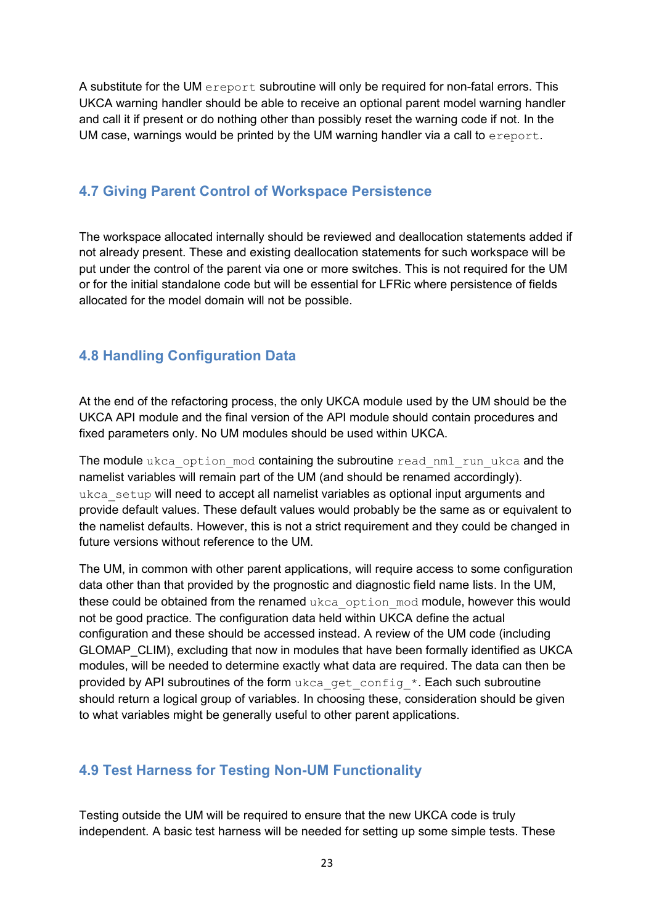A substitute for the UM ereport subroutine will only be required for non-fatal errors. This UKCA warning handler should be able to receive an optional parent model warning handler and call it if present or do nothing other than possibly reset the warning code if not. In the UM case, warnings would be printed by the UM warning handler via a call to ereport.

# <span id="page-23-0"></span>**4.7 Giving Parent Control of Workspace Persistence**

The workspace allocated internally should be reviewed and deallocation statements added if not already present. These and existing deallocation statements for such workspace will be put under the control of the parent via one or more switches. This is not required for the UM or for the initial standalone code but will be essential for LFRic where persistence of fields allocated for the model domain will not be possible.

# <span id="page-23-1"></span>**4.8 Handling Configuration Data**

At the end of the refactoring process, the only UKCA module used by the UM should be the UKCA API module and the final version of the API module should contain procedures and fixed parameters only. No UM modules should be used within UKCA.

The module ukca option mod containing the subroutine read nml run ukca and the namelist variables will remain part of the UM (and should be renamed accordingly). ukca setup will need to accept all namelist variables as optional input arguments and provide default values. These default values would probably be the same as or equivalent to the namelist defaults. However, this is not a strict requirement and they could be changed in future versions without reference to the UM.

The UM, in common with other parent applications, will require access to some configuration data other than that provided by the prognostic and diagnostic field name lists. In the UM, these could be obtained from the renamed ukca\_option\_mod module, however this would not be good practice. The configuration data held within UKCA define the actual configuration and these should be accessed instead. A review of the UM code (including GLOMAP\_CLIM), excluding that now in modules that have been formally identified as UKCA modules, will be needed to determine exactly what data are required. The data can then be provided by API subroutines of the form ukca\_get\_config\_\*. Each such subroutine should return a logical group of variables. In choosing these, consideration should be given to what variables might be generally useful to other parent applications.

# <span id="page-23-2"></span>**4.9 Test Harness for Testing Non-UM Functionality**

Testing outside the UM will be required to ensure that the new UKCA code is truly independent. A basic test harness will be needed for setting up some simple tests. These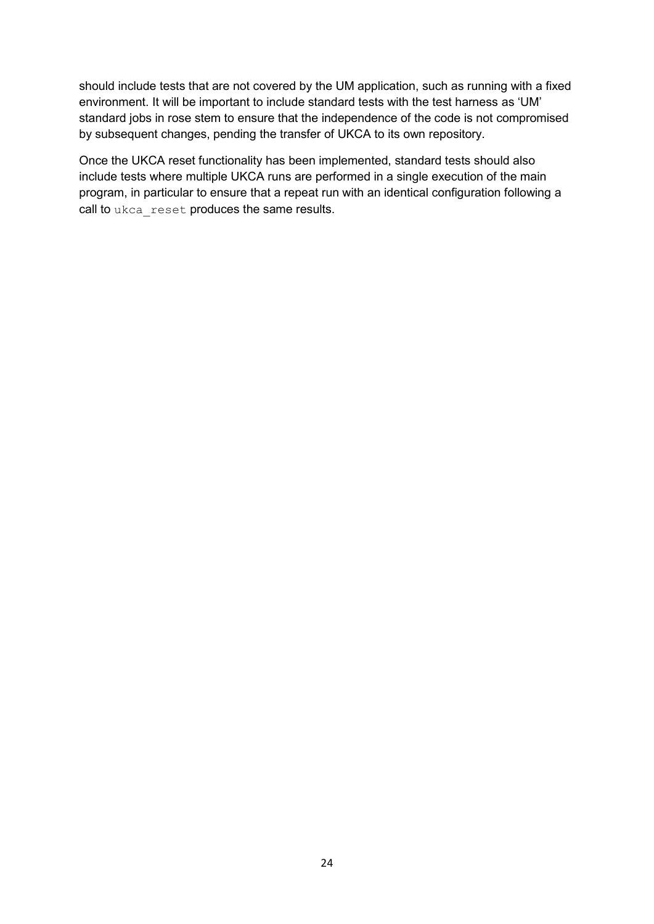should include tests that are not covered by the UM application, such as running with a fixed environment. It will be important to include standard tests with the test harness as 'UM' standard jobs in rose stem to ensure that the independence of the code is not compromised by subsequent changes, pending the transfer of UKCA to its own repository.

Once the UKCA reset functionality has been implemented, standard tests should also include tests where multiple UKCA runs are performed in a single execution of the main program, in particular to ensure that a repeat run with an identical configuration following a call to ukca\_reset produces the same results.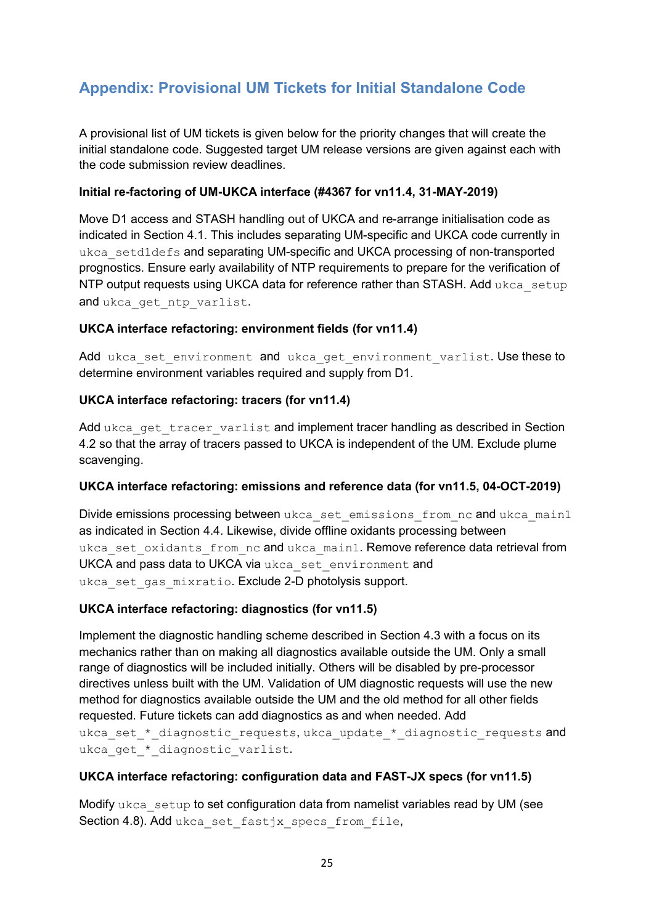# <span id="page-25-0"></span>**Appendix: Provisional UM Tickets for Initial Standalone Code**

A provisional list of UM tickets is given below for the priority changes that will create the initial standalone code. Suggested target UM release versions are given against each with the code submission review deadlines.

#### **Initial re-factoring of UM-UKCA interface (#4367 for vn11.4, 31-MAY-2019)**

Move D1 access and STASH handling out of UKCA and re-arrange initialisation code as indicated in Section 4.1. This includes separating UM-specific and UKCA code currently in ukca setd1defs and separating UM-specific and UKCA processing of non-transported prognostics. Ensure early availability of NTP requirements to prepare for the verification of NTP output requests using UKCA data for reference rather than STASH. Add ukca setup and ukca get ntp varlist.

#### **UKCA interface refactoring: environment fields (for vn11.4)**

Add ukca set environment and ukca get environment varlist. Use these to determine environment variables required and supply from D1.

### **UKCA interface refactoring: tracers (for vn11.4)**

Add ukca\_get\_tracer\_varlist and implement tracer handling as described in Section 4.2 so that the array of tracers passed to UKCA is independent of the UM. Exclude plume scavenging.

#### **UKCA interface refactoring: emissions and reference data (for vn11.5, 04-OCT-2019)**

Divide emissions processing between ukca\_set\_emissions\_from\_nc and ukca\_main1 as indicated in Section 4.4. Likewise, divide offline oxidants processing between ukca\_set\_oxidants\_from\_nc and ukca\_main1. Remove reference data retrieval from UKCA and pass data to UKCA via ukca set environment and ukca set gas mixratio. Exclude 2-D photolysis support.

### **UKCA interface refactoring: diagnostics (for vn11.5)**

Implement the diagnostic handling scheme described in Section 4.3 with a focus on its mechanics rather than on making all diagnostics available outside the UM. Only a small range of diagnostics will be included initially. Others will be disabled by pre-processor directives unless built with the UM. Validation of UM diagnostic requests will use the new method for diagnostics available outside the UM and the old method for all other fields requested. Future tickets can add diagnostics as and when needed. Add ukca\_set\_\*\_diagnostic\_requests, ukca\_update\_\*\_diagnostic\_requests and ukca get \* diagnostic varlist.

### **UKCA interface refactoring: configuration data and FAST-JX specs (for vn11.5)**

Modify  $ukca$  setup to set configuration data from namelist variables read by UM (see Section 4.8). Add ukca set fastjx specs from file,